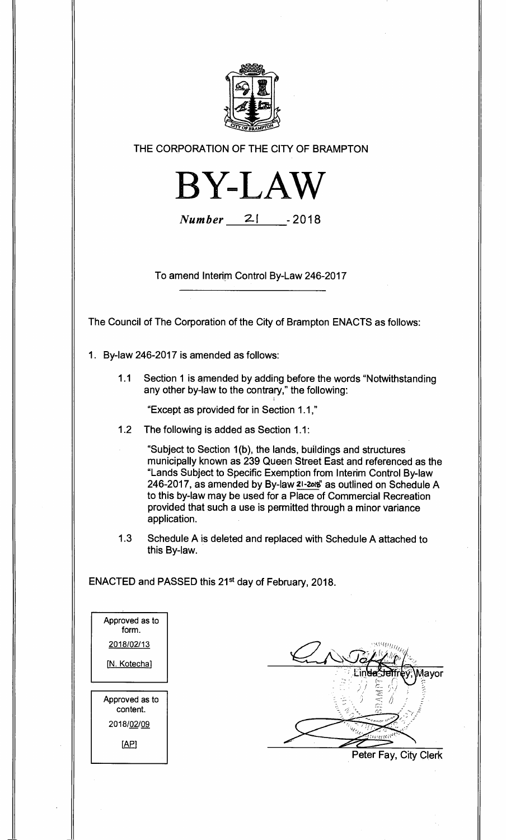

**THE CORPORATION OF THE CITY OF BRAMPTON** 



**Number 2-1 - 2018** 

**To amend Interim Control By-Law 246-2017** 

**The Council of The Corporation of the City of Brampton ENACTS as follows:** 

- **1. By-law 246-2017 is amended as follows:** 
	- **1.1 Section 1 is amended by adding before the words "Notwithstanding any other by-law to the contrary," the following:**

**"Except as provided for in Section 1.1,"** 

**1.2 The following is added as Section 1.1:** 

**"Subject to Section 1(b), the lands, buildings and structures municipally known as 239 Queen Street East and referenced as the "Lands Subject to Specific Exemption from Interim Control By-law 246-2017, as amended by By-law 21-20K as outlined on Schedule A to this by-law may be used for a Place of Commercial Recreation provided that such a use is permitted through a minor variance application.** 

**1.3 Schedule A is deleted and replaced with Schedule A attached to this By-law.** 

**ENACTED and PASSED this 21st day of February, 2018.** 

| Approved as to<br>form. |  |
|-------------------------|--|
| 2018/02/13              |  |
| [N. Kotecha]            |  |
|                         |  |
|                         |  |
|                         |  |
| Approved as to          |  |
| content.                |  |
| 2018/02/09              |  |
|                         |  |
| [AP]                    |  |